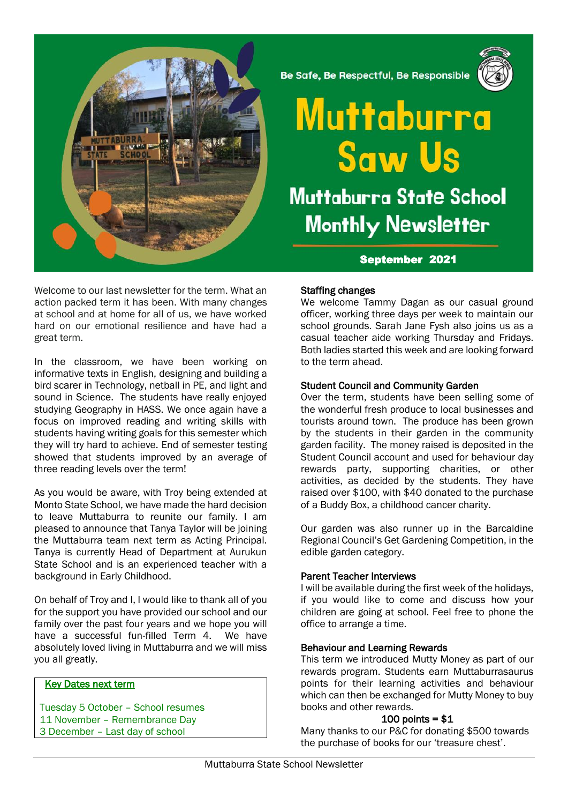

Welcome to our last newsletter for the term. What an action packed term it has been. With many changes at school and at home for all of us, we have worked hard on our emotional resilience and have had a great term.

In the classroom, we have been working on informative texts in English, designing and building a bird scarer in Technology, netball in PE, and light and sound in Science. The students have really enjoyed studying Geography in HASS. We once again have a focus on improved reading and writing skills with students having writing goals for this semester which they will try hard to achieve. End of semester testing showed that students improved by an average of three reading levels over the term!

As you would be aware, with Troy being extended at Monto State School, we have made the hard decision to leave Muttaburra to reunite our family. I am pleased to announce that Tanya Taylor will be joining the Muttaburra team next term as Acting Principal. Tanya is currently Head of Department at Aurukun State School and is an experienced teacher with a background in Early Childhood.

On behalf of Troy and I, I would like to thank all of you for the support you have provided our school and our family over the past four years and we hope you will have a successful fun-filled Term 4. We have absolutely loved living in Muttaburra and we will miss you all greatly.

## Key Dates next term

Tuesday 5 October – School resumes 11 November – Remembrance Day 3 December – Last day of school

Be Safe, Be Respectful, Be Responsible



# Muttaburra **Saw Us Muttaburra State School Monthly Newsletter**

# September 2021

## Staffing changes

We welcome Tammy Dagan as our casual ground officer, working three days per week to maintain our school grounds. Sarah Jane Fysh also joins us as a casual teacher aide working Thursday and Fridays. Both ladies started this week and are looking forward to the term ahead.

#### Student Council and Community Garden

Over the term, students have been selling some of the wonderful fresh produce to local businesses and tourists around town. The produce has been grown by the students in their garden in the community garden facility. The money raised is deposited in the Student Council account and used for behaviour day rewards party, supporting charities, or other activities, as decided by the students. They have raised over \$100, with \$40 donated to the purchase of a Buddy Box, a childhood cancer charity.

Our garden was also runner up in the Barcaldine Regional Council's Get Gardening Competition, in the edible garden category.

# Parent Teacher Interviews

I will be available during the first week of the holidays, if you would like to come and discuss how your children are going at school. Feel free to phone the office to arrange a time.

#### Behaviour and Learning Rewards

This term we introduced Mutty Money as part of our rewards program. Students earn Muttaburrasaurus points for their learning activities and behaviour which can then be exchanged for Mutty Money to buy books and other rewards.

#### $100$  points = \$1

Many thanks to our P&C for donating \$500 towards the purchase of books for our 'treasure chest'.